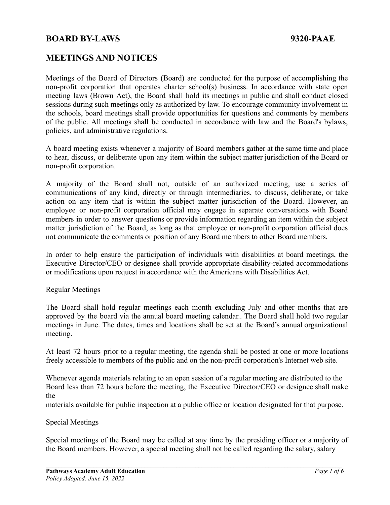# **MEETINGS AND NOTICES**

Meetings of the Board of Directors (Board) are conducted for the purpose of accomplishing the non-profit corporation that operates charter school(s) business. In accordance with state open meeting laws (Brown Act), the Board shall hold its meetings in public and shall conduct closed sessions during such meetings only as authorized by law. To encourage community involvement in the schools, board meetings shall provide opportunities for questions and comments by members of the public. All meetings shall be conducted in accordance with law and the Board's bylaws, policies, and administrative regulations.

 $\mathcal{L}_\mathcal{L} = \{ \mathcal{L}_\mathcal{L} = \{ \mathcal{L}_\mathcal{L} = \{ \mathcal{L}_\mathcal{L} = \{ \mathcal{L}_\mathcal{L} = \{ \mathcal{L}_\mathcal{L} = \{ \mathcal{L}_\mathcal{L} = \{ \mathcal{L}_\mathcal{L} = \{ \mathcal{L}_\mathcal{L} = \{ \mathcal{L}_\mathcal{L} = \{ \mathcal{L}_\mathcal{L} = \{ \mathcal{L}_\mathcal{L} = \{ \mathcal{L}_\mathcal{L} = \{ \mathcal{L}_\mathcal{L} = \{ \mathcal{L}_\mathcal{$ 

A board meeting exists whenever a majority of Board members gather at the same time and place to hear, discuss, or deliberate upon any item within the subject matter jurisdiction of the Board or non-profit corporation.

A majority of the Board shall not, outside of an authorized meeting, use a series of communications of any kind, directly or through intermediaries, to discuss, deliberate, or take action on any item that is within the subject matter jurisdiction of the Board. However, an employee or non-profit corporation official may engage in separate conversations with Board members in order to answer questions or provide information regarding an item within the subject matter jurisdiction of the Board, as long as that employee or non-profit corporation official does not communicate the comments or position of any Board members to other Board members.

In order to help ensure the participation of individuals with disabilities at board meetings, the Executive Director/CEO or designee shall provide appropriate disability-related accommodations or modifications upon request in accordance with the Americans with Disabilities Act.

#### Regular Meetings

The Board shall hold regular meetings each month excluding July and other months that are approved by the board via the annual board meeting calendar.. The Board shall hold two regular meetings in June. The dates, times and locations shall be set at the Board's annual organizational meeting.

At least 72 hours prior to a regular meeting, the agenda shall be posted at one or more locations freely accessible to members of the public and on the non-profit corporation's Internet web site.

Whenever agenda materials relating to an open session of a regular meeting are distributed to the Board less than 72 hours before the meeting, the Executive Director/CEO or designee shall make the

materials available for public inspection at a public office or location designated for that purpose.

#### Special Meetings

Special meetings of the Board may be called at any time by the presiding officer or a majority of the Board members. However, a special meeting shall not be called regarding the salary, salary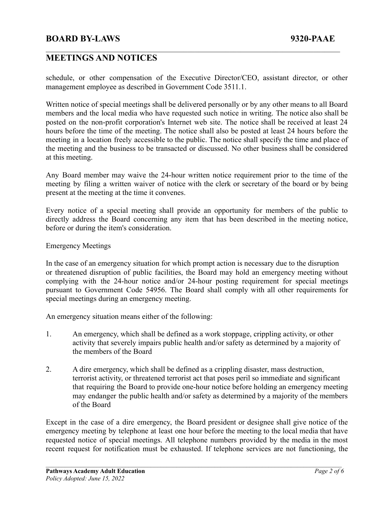# **BOARD BY-LAWS 9320-PAAE**

# **MEETINGS AND NOTICES**

schedule, or other compensation of the Executive Director/CEO, assistant director, or other management employee as described in Government Code 3511.1.

 $\mathcal{L}_\mathcal{L} = \{ \mathcal{L}_\mathcal{L} = \{ \mathcal{L}_\mathcal{L} = \{ \mathcal{L}_\mathcal{L} = \{ \mathcal{L}_\mathcal{L} = \{ \mathcal{L}_\mathcal{L} = \{ \mathcal{L}_\mathcal{L} = \{ \mathcal{L}_\mathcal{L} = \{ \mathcal{L}_\mathcal{L} = \{ \mathcal{L}_\mathcal{L} = \{ \mathcal{L}_\mathcal{L} = \{ \mathcal{L}_\mathcal{L} = \{ \mathcal{L}_\mathcal{L} = \{ \mathcal{L}_\mathcal{L} = \{ \mathcal{L}_\mathcal{$ 

Written notice of special meetings shall be delivered personally or by any other means to all Board members and the local media who have requested such notice in writing. The notice also shall be posted on the non-profit corporation's Internet web site. The notice shall be received at least 24 hours before the time of the meeting. The notice shall also be posted at least 24 hours before the meeting in a location freely accessible to the public. The notice shall specify the time and place of the meeting and the business to be transacted or discussed. No other business shall be considered at this meeting.

Any Board member may waive the 24-hour written notice requirement prior to the time of the meeting by filing a written waiver of notice with the clerk or secretary of the board or by being present at the meeting at the time it convenes.

Every notice of a special meeting shall provide an opportunity for members of the public to directly address the Board concerning any item that has been described in the meeting notice, before or during the item's consideration.

#### Emergency Meetings

In the case of an emergency situation for which prompt action is necessary due to the disruption or threatened disruption of public facilities, the Board may hold an emergency meeting without complying with the 24-hour notice and/or 24-hour posting requirement for special meetings pursuant to Government Code 54956. The Board shall comply with all other requirements for special meetings during an emergency meeting.

An emergency situation means either of the following:

- 1. An emergency, which shall be defined as a work stoppage, crippling activity, or other activity that severely impairs public health and/or safety as determined by a majority of the members of the Board
- 2. A dire emergency, which shall be defined as a crippling disaster, mass destruction, terrorist activity, or threatened terrorist act that poses peril so immediate and significant that requiring the Board to provide one-hour notice before holding an emergency meeting may endanger the public health and/or safety as determined by a majority of the members of the Board

Except in the case of a dire emergency, the Board president or designee shall give notice of the emergency meeting by telephone at least one hour before the meeting to the local media that have requested notice of special meetings. All telephone numbers provided by the media in the most recent request for notification must be exhausted. If telephone services are not functioning, the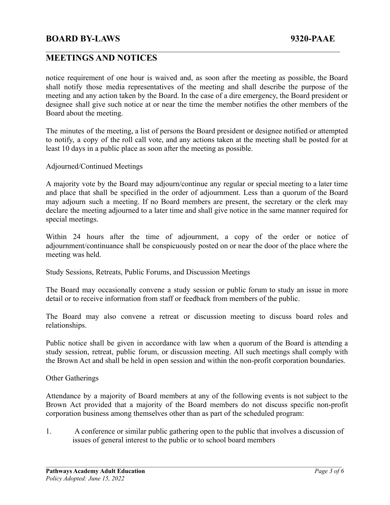#### **BOARD BY-LAWS 9320-PAAE**

# **MEETINGS AND NOTICES**

notice requirement of one hour is waived and, as soon after the meeting as possible, the Board shall notify those media representatives of the meeting and shall describe the purpose of the meeting and any action taken by the Board. In the case of a dire emergency, the Board president or designee shall give such notice at or near the time the member notifies the other members of the Board about the meeting.

 $\mathcal{L}_\mathcal{L} = \{ \mathcal{L}_\mathcal{L} = \{ \mathcal{L}_\mathcal{L} = \{ \mathcal{L}_\mathcal{L} = \{ \mathcal{L}_\mathcal{L} = \{ \mathcal{L}_\mathcal{L} = \{ \mathcal{L}_\mathcal{L} = \{ \mathcal{L}_\mathcal{L} = \{ \mathcal{L}_\mathcal{L} = \{ \mathcal{L}_\mathcal{L} = \{ \mathcal{L}_\mathcal{L} = \{ \mathcal{L}_\mathcal{L} = \{ \mathcal{L}_\mathcal{L} = \{ \mathcal{L}_\mathcal{L} = \{ \mathcal{L}_\mathcal{$ 

The minutes of the meeting, a list of persons the Board president or designee notified or attempted to notify, a copy of the roll call vote, and any actions taken at the meeting shall be posted for at least 10 days in a public place as soon after the meeting as possible.

Adjourned/Continued Meetings

A majority vote by the Board may adjourn/continue any regular or special meeting to a later time and place that shall be specified in the order of adjournment. Less than a quorum of the Board may adjourn such a meeting. If no Board members are present, the secretary or the clerk may declare the meeting adjourned to a later time and shall give notice in the same manner required for special meetings.

Within 24 hours after the time of adjournment, a copy of the order or notice of adjournment/continuance shall be conspicuously posted on or near the door of the place where the meeting was held.

Study Sessions, Retreats, Public Forums, and Discussion Meetings

The Board may occasionally convene a study session or public forum to study an issue in more detail or to receive information from staff or feedback from members of the public.

The Board may also convene a retreat or discussion meeting to discuss board roles and relationships.

Public notice shall be given in accordance with law when a quorum of the Board is attending a study session, retreat, public forum, or discussion meeting. All such meetings shall comply with the Brown Act and shall be held in open session and within the non-profit corporation boundaries.

Other Gatherings

Attendance by a majority of Board members at any of the following events is not subject to the Brown Act provided that a majority of the Board members do not discuss specific non-profit corporation business among themselves other than as part of the scheduled program:

1. A conference or similar public gathering open to the public that involves a discussion of issues of general interest to the public or to school board members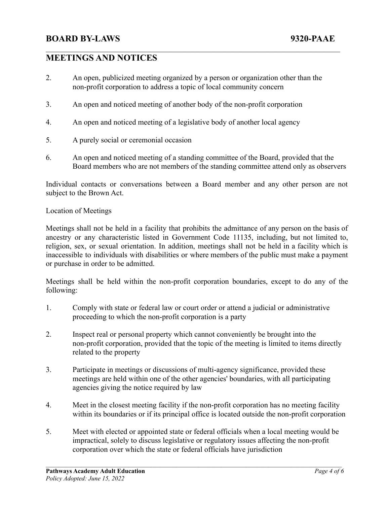# **MEETINGS AND NOTICES**

2. An open, publicized meeting organized by a person or organization other than the non-profit corporation to address a topic of local community concern

 $\mathcal{L}_\mathcal{L} = \{ \mathcal{L}_\mathcal{L} = \{ \mathcal{L}_\mathcal{L} = \{ \mathcal{L}_\mathcal{L} = \{ \mathcal{L}_\mathcal{L} = \{ \mathcal{L}_\mathcal{L} = \{ \mathcal{L}_\mathcal{L} = \{ \mathcal{L}_\mathcal{L} = \{ \mathcal{L}_\mathcal{L} = \{ \mathcal{L}_\mathcal{L} = \{ \mathcal{L}_\mathcal{L} = \{ \mathcal{L}_\mathcal{L} = \{ \mathcal{L}_\mathcal{L} = \{ \mathcal{L}_\mathcal{L} = \{ \mathcal{L}_\mathcal{$ 

- 3. An open and noticed meeting of another body of the non-profit corporation
- 4. An open and noticed meeting of a legislative body of another local agency
- 5. A purely social or ceremonial occasion
- 6. An open and noticed meeting of a standing committee of the Board, provided that the Board members who are not members of the standing committee attend only as observers

Individual contacts or conversations between a Board member and any other person are not subject to the Brown Act.

#### Location of Meetings

Meetings shall not be held in a facility that prohibits the admittance of any person on the basis of ancestry or any characteristic listed in Government Code 11135, including, but not limited to, religion, sex, or sexual orientation. In addition, meetings shall not be held in a facility which is inaccessible to individuals with disabilities or where members of the public must make a payment or purchase in order to be admitted.

Meetings shall be held within the non-profit corporation boundaries, except to do any of the following:

- 1. Comply with state or federal law or court order or attend a judicial or administrative proceeding to which the non-profit corporation is a party
- 2. Inspect real or personal property which cannot conveniently be brought into the non-profit corporation, provided that the topic of the meeting is limited to items directly related to the property
- 3. Participate in meetings or discussions of multi-agency significance, provided these meetings are held within one of the other agencies' boundaries, with all participating agencies giving the notice required by law
- 4. Meet in the closest meeting facility if the non-profit corporation has no meeting facility within its boundaries or if its principal office is located outside the non-profit corporation
- 5. Meet with elected or appointed state or federal officials when a local meeting would be impractical, solely to discuss legislative or regulatory issues affecting the non-profit corporation over which the state or federal officials have jurisdiction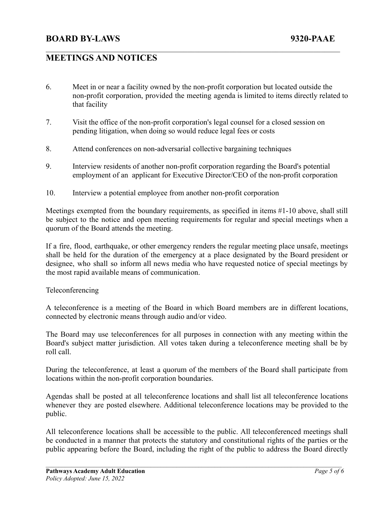# **MEETINGS AND NOTICES**

6. Meet in or near a facility owned by the non-profit corporation but located outside the non-profit corporation, provided the meeting agenda is limited to items directly related to that facility

 $\mathcal{L}_\mathcal{L} = \{ \mathcal{L}_\mathcal{L} = \{ \mathcal{L}_\mathcal{L} = \{ \mathcal{L}_\mathcal{L} = \{ \mathcal{L}_\mathcal{L} = \{ \mathcal{L}_\mathcal{L} = \{ \mathcal{L}_\mathcal{L} = \{ \mathcal{L}_\mathcal{L} = \{ \mathcal{L}_\mathcal{L} = \{ \mathcal{L}_\mathcal{L} = \{ \mathcal{L}_\mathcal{L} = \{ \mathcal{L}_\mathcal{L} = \{ \mathcal{L}_\mathcal{L} = \{ \mathcal{L}_\mathcal{L} = \{ \mathcal{L}_\mathcal{$ 

- 7. Visit the office of the non-profit corporation's legal counsel for a closed session on pending litigation, when doing so would reduce legal fees or costs
- 8. Attend conferences on non-adversarial collective bargaining techniques
- 9. Interview residents of another non-profit corporation regarding the Board's potential employment of an applicant for Executive Director/CEO of the non-profit corporation
- 10. Interview a potential employee from another non-profit corporation

Meetings exempted from the boundary requirements, as specified in items #1-10 above, shall still be subject to the notice and open meeting requirements for regular and special meetings when a quorum of the Board attends the meeting.

If a fire, flood, earthquake, or other emergency renders the regular meeting place unsafe, meetings shall be held for the duration of the emergency at a place designated by the Board president or designee, who shall so inform all news media who have requested notice of special meetings by the most rapid available means of communication.

#### Teleconferencing

A teleconference is a meeting of the Board in which Board members are in different locations, connected by electronic means through audio and/or video.

The Board may use teleconferences for all purposes in connection with any meeting within the Board's subject matter jurisdiction. All votes taken during a teleconference meeting shall be by roll call.

During the teleconference, at least a quorum of the members of the Board shall participate from locations within the non-profit corporation boundaries.

Agendas shall be posted at all teleconference locations and shall list all teleconference locations whenever they are posted elsewhere. Additional teleconference locations may be provided to the public.

All teleconference locations shall be accessible to the public. All teleconferenced meetings shall be conducted in a manner that protects the statutory and constitutional rights of the parties or the public appearing before the Board, including the right of the public to address the Board directly